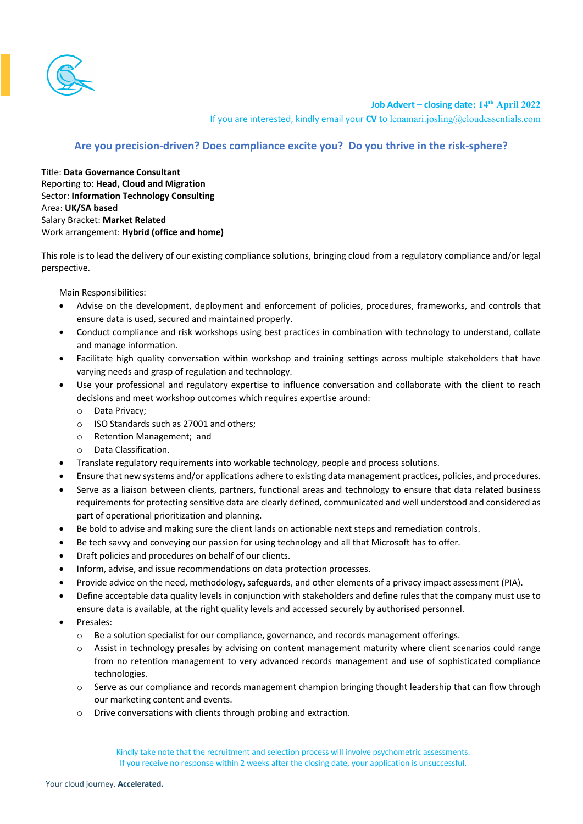

**Job Advert – closing date: 14th April 2022**

If you are interested, kindly email your **CV** to lenamari.josling@cloudessentials.com

## **Are you precision-driven? Does compliance excite you? Do you thrive in the risk-sphere?**

Title: **Data Governance Consultant** Reporting to: **Head, Cloud and Migration** Sector: **Information Technology Consulting** Area: **UK/SA based** Salary Bracket: **Market Related** Work arrangement: **Hybrid (office and home)**

This role is to lead the delivery of our existing compliance solutions, bringing cloud from a regulatory compliance and/or legal perspective.

Main Responsibilities:

- Advise on the development, deployment and enforcement of policies, procedures, frameworks, and controls that ensure data is used, secured and maintained properly.
- Conduct compliance and risk workshops using best practices in combination with technology to understand, collate and manage information.
- Facilitate high quality conversation within workshop and training settings across multiple stakeholders that have varying needs and grasp of regulation and technology.
- Use your professional and regulatory expertise to influence conversation and collaborate with the client to reach decisions and meet workshop outcomes which requires expertise around:
	- o Data Privacy;
	- o ISO Standards such as 27001 and others;
	- o Retention Management; and
	- Data Classification.
- Translate regulatory requirements into workable technology, people and process solutions.
- Ensure that new systems and/or applications adhere to existing data management practices, policies, and procedures.
- Serve as a liaison between clients, partners, functional areas and technology to ensure that data related business requirements for protecting sensitive data are clearly defined, communicated and well understood and considered as part of operational prioritization and planning.
- Be bold to advise and making sure the client lands on actionable next steps and remediation controls.
- Be tech savvy and conveying our passion for using technology and all that Microsoft has to offer.
- Draft policies and procedures on behalf of our clients.
- Inform, advise, and issue recommendations on data protection processes.
- Provide advice on the need, methodology, safeguards, and other elements of a privacy impact assessment (PIA).
- Define acceptable data quality levels in conjunction with stakeholders and define rules that the company must use to ensure data is available, at the right quality levels and accessed securely by authorised personnel.
- Presales:
	- o Be a solution specialist for our compliance, governance, and records management offerings.
	- o Assist in technology presales by advising on content management maturity where client scenarios could range from no retention management to very advanced records management and use of sophisticated compliance technologies.
	- o Serve as our compliance and records management champion bringing thought leadership that can flow through our marketing content and events.
	- o Drive conversations with clients through probing and extraction.

Kindly take note that the recruitment and selection process will involve psychometric assessments. If you receive no response within 2 weeks after the closing date, your application is unsuccessful.